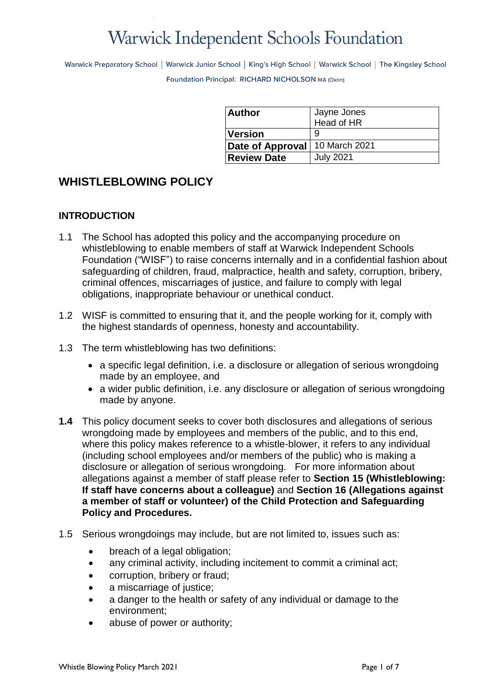# **Warwick Independent Schools Foundation**

Warwick Preparatory School | Warwick Junior School | King's High School | Warwick School | The Kingsley School Foundation Principal: RICHARD NICHOLSON MA (Oxon)

| <b>Author</b>                | Jayne Jones      |
|------------------------------|------------------|
|                              | Head of HR       |
| <i><u><b>Version</b></u></i> | 9                |
| Date of Approval             | 10 March 2021    |
| <b>Review Date</b>           | <b>July 2021</b> |

# **WHISTLEBLOWING POLICY**

## **INTRODUCTION**

- 1.1 The School has adopted this policy and the accompanying procedure on whistleblowing to enable members of staff at Warwick Independent Schools Foundation ("WISF") to raise concerns internally and in a confidential fashion about safeguarding of children, fraud, malpractice, health and safety, corruption, bribery, criminal offences, miscarriages of justice, and failure to comply with legal obligations, inappropriate behaviour or unethical conduct.
- 1.2 WISF is committed to ensuring that it, and the people working for it, comply with the highest standards of openness, honesty and accountability.
- 1.3 The term whistleblowing has two definitions:
	- a specific legal definition, i.e. a disclosure or allegation of serious wrongdoing made by an employee, and
	- a wider public definition, i.e. any disclosure or allegation of serious wrongdoing made by anyone.
- **1.4** This policy document seeks to cover both disclosures and allegations of serious wrongdoing made by employees and members of the public, and to this end, where this policy makes reference to a whistle-blower, it refers to any individual (including school employees and/or members of the public) who is making a disclosure or allegation of serious wrongdoing. For more information about allegations against a member of staff please refer to **Section 15 (Whistleblowing: If staff have concerns about a colleague)** and **Section 16 (Allegations against a member of staff or volunteer) of the Child Protection and Safeguarding Policy and Procedures.**
- 1.5 Serious wrongdoings may include, but are not limited to, issues such as:
	- breach of a legal obligation;
	- any criminal activity, including incitement to commit a criminal act;
	- corruption, bribery or fraud;
	- a miscarriage of justice;
	- a danger to the health or safety of any individual or damage to the environment;
	- abuse of power or authority;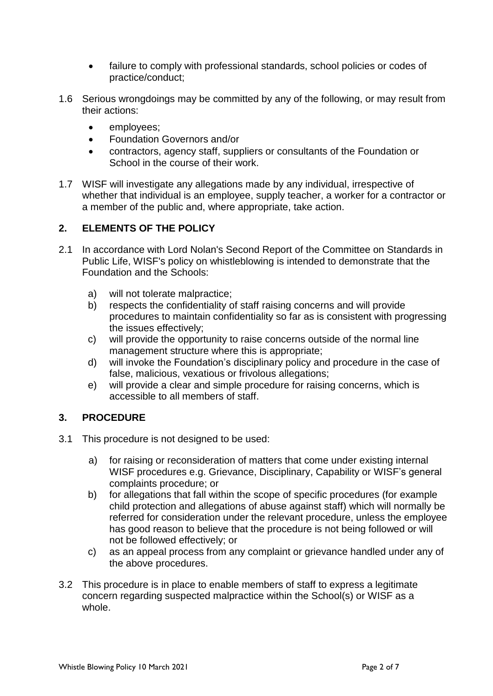- failure to comply with professional standards, school policies or codes of practice/conduct;
- 1.6 Serious wrongdoings may be committed by any of the following, or may result from their actions:
	- employees;
	- Foundation Governors and/or
	- contractors, agency staff, suppliers or consultants of the Foundation or School in the course of their work.
- 1.7 WISF will investigate any allegations made by any individual, irrespective of whether that individual is an employee, supply teacher, a worker for a contractor or a member of the public and, where appropriate, take action.

# **2. ELEMENTS OF THE POLICY**

- 2.1 In accordance with Lord Nolan's Second Report of the Committee on Standards in Public Life, WISF's policy on whistleblowing is intended to demonstrate that the Foundation and the Schools:
	- a) will not tolerate malpractice;
	- b) respects the confidentiality of staff raising concerns and will provide procedures to maintain confidentiality so far as is consistent with progressing the issues effectively;
	- c) will provide the opportunity to raise concerns outside of the normal line management structure where this is appropriate;
	- d) will invoke the Foundation's disciplinary policy and procedure in the case of false, malicious, vexatious or frivolous allegations;
	- e) will provide a clear and simple procedure for raising concerns, which is accessible to all members of staff.

# **3. PROCEDURE**

- 3.1 This procedure is not designed to be used:
	- a) for raising or reconsideration of matters that come under existing internal WISF procedures e.g. Grievance, Disciplinary, Capability or WISF's general complaints procedure; or
	- b) for allegations that fall within the scope of specific procedures (for example child protection and allegations of abuse against staff) which will normally be referred for consideration under the relevant procedure, unless the employee has good reason to believe that the procedure is not being followed or will not be followed effectively; or
	- c) as an appeal process from any complaint or grievance handled under any of the above procedures.
- 3.2 This procedure is in place to enable members of staff to express a legitimate concern regarding suspected malpractice within the School(s) or WISF as a whole.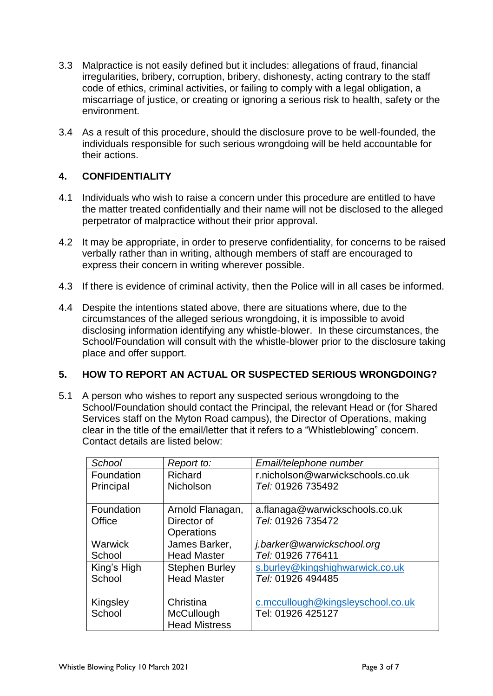- 3.3 Malpractice is not easily defined but it includes: allegations of fraud, financial irregularities, bribery, corruption, bribery, dishonesty, acting contrary to the staff code of ethics, criminal activities, or failing to comply with a legal obligation, a miscarriage of justice, or creating or ignoring a serious risk to health, safety or the environment.
- 3.4 As a result of this procedure, should the disclosure prove to be well-founded, the individuals responsible for such serious wrongdoing will be held accountable for their actions.

## **4. CONFIDENTIALITY**

- 4.1 Individuals who wish to raise a concern under this procedure are entitled to have the matter treated confidentially and their name will not be disclosed to the alleged perpetrator of malpractice without their prior approval.
- 4.2 It may be appropriate, in order to preserve confidentiality, for concerns to be raised verbally rather than in writing, although members of staff are encouraged to express their concern in writing wherever possible.
- 4.3 If there is evidence of criminal activity, then the Police will in all cases be informed.
- 4.4 Despite the intentions stated above, there are situations where, due to the circumstances of the alleged serious wrongdoing, it is impossible to avoid disclosing information identifying any whistle-blower. In these circumstances, the School/Foundation will consult with the whistle-blower prior to the disclosure taking place and offer support.

#### **5. HOW TO REPORT AN ACTUAL OR SUSPECTED SERIOUS WRONGDOING?**

5.1 A person who wishes to report any suspected serious wrongdoing to the School/Foundation should contact the Principal, the relevant Head or (for Shared Services staff on the Myton Road campus), the Director of Operations, making clear in the title of the email/letter that it refers to a "Whistleblowing" concern. Contact details are listed below:

| School         | Report to:            | Email/telephone number            |
|----------------|-----------------------|-----------------------------------|
| Foundation     | Richard               | r.nicholson@warwickschools.co.uk  |
| Principal      | <b>Nicholson</b>      | Tel: 01926 735492                 |
|                |                       |                                   |
| Foundation     | Arnold Flanagan,      | a.flanaga@warwickschools.co.uk    |
| Office         | Director of           | Tel: 01926 735472                 |
|                | Operations            |                                   |
| <b>Warwick</b> | James Barker,         | j.barker@warwickschool.org        |
| School         | <b>Head Master</b>    | Tel: 01926 776411                 |
| King's High    | <b>Stephen Burley</b> | s.burley@kingshighwarwick.co.uk   |
| School         | <b>Head Master</b>    | Tel: 01926 494485                 |
|                |                       |                                   |
| Kingsley       | Christina             | c.mccullough@kingsleyschool.co.uk |
| School         | McCullough            | Tel: 01926 425127                 |
|                | <b>Head Mistress</b>  |                                   |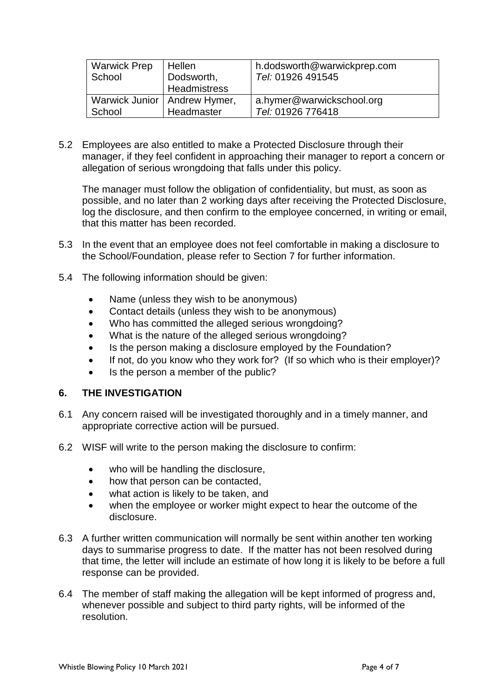| <b>Warwick Prep</b> | Hellen                         | h.dodsworth@warwickprep.com |
|---------------------|--------------------------------|-----------------------------|
| School              | Dodsworth,                     | Tel: 01926 491545           |
|                     | Headmistress                   |                             |
|                     | Warwick Junior   Andrew Hymer, | a.hymer@warwickschool.org   |
| School              | Headmaster                     | Tel: 01926 776418           |

5.2 Employees are also entitled to make a Protected Disclosure through their manager, if they feel confident in approaching their manager to report a concern or allegation of serious wrongdoing that falls under this policy.

The manager must follow the obligation of confidentiality, but must, as soon as possible, and no later than 2 working days after receiving the Protected Disclosure, log the disclosure, and then confirm to the employee concerned, in writing or email, that this matter has been recorded.

- 5.3 In the event that an employee does not feel comfortable in making a disclosure to the School/Foundation, please refer to Section 7 for further information.
- 5.4 The following information should be given:
	- Name (unless they wish to be anonymous)
	- Contact details (unless they wish to be anonymous)
	- Who has committed the alleged serious wrongdoing?
	- What is the nature of the alleged serious wrongdoing?
	- Is the person making a disclosure employed by the Foundation?
	- If not, do you know who they work for? (If so which who is their employer)?
	- Is the person a member of the public?

#### **6. THE INVESTIGATION**

- 6.1 Any concern raised will be investigated thoroughly and in a timely manner, and appropriate corrective action will be pursued.
- 6.2 WISF will write to the person making the disclosure to confirm:
	- who will be handling the disclosure,
	- how that person can be contacted,
	- what action is likely to be taken, and
	- when the employee or worker might expect to hear the outcome of the disclosure.
- 6.3 A further written communication will normally be sent within another ten working days to summarise progress to date. If the matter has not been resolved during that time, the letter will include an estimate of how long it is likely to be before a full response can be provided.
- 6.4 The member of staff making the allegation will be kept informed of progress and, whenever possible and subject to third party rights, will be informed of the resolution.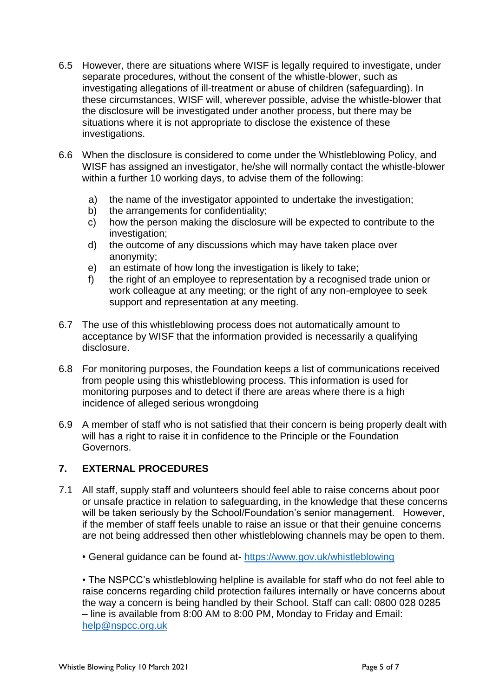- 6.5 However, there are situations where WISF is legally required to investigate, under separate procedures, without the consent of the whistle-blower, such as investigating allegations of ill-treatment or abuse of children (safeguarding). In these circumstances, WISF will, wherever possible, advise the whistle-blower that the disclosure will be investigated under another process, but there may be situations where it is not appropriate to disclose the existence of these investigations.
- 6.6 When the disclosure is considered to come under the Whistleblowing Policy, and WISF has assigned an investigator, he/she will normally contact the whistle-blower within a further 10 working days, to advise them of the following:
	- a) the name of the investigator appointed to undertake the investigation;
	- b) the arrangements for confidentiality;
	- c) how the person making the disclosure will be expected to contribute to the investigation;
	- d) the outcome of any discussions which may have taken place over anonymity;
	- e) an estimate of how long the investigation is likely to take;
	- f) the right of an employee to representation by a recognised trade union or work colleague at any meeting; or the right of any non-employee to seek support and representation at any meeting.
- 6.7 The use of this whistleblowing process does not automatically amount to acceptance by WISF that the information provided is necessarily a qualifying disclosure.
- 6.8 For monitoring purposes, the Foundation keeps a list of communications received from people using this whistleblowing process. This information is used for monitoring purposes and to detect if there are areas where there is a high incidence of alleged serious wrongdoing
- 6.9 A member of staff who is not satisfied that their concern is being properly dealt with will has a right to raise it in confidence to the Principle or the Foundation Governors.

# **7. EXTERNAL PROCEDURES**

- 7.1 All staff, supply staff and volunteers should feel able to raise concerns about poor or unsafe practice in relation to safeguarding, in the knowledge that these concerns will be taken seriously by the School/Foundation's senior management. However, if the member of staff feels unable to raise an issue or that their genuine concerns are not being addressed then other whistleblowing channels may be open to them.
	- General guidance can be found at- <https://www.gov.uk/whistleblowing>

• The NSPCC's whistleblowing helpline is available for staff who do not feel able to raise concerns regarding child protection failures internally or have concerns about the way a concern is being handled by their School. Staff can call: 0800 028 0285 – line is available from 8:00 AM to 8:00 PM, Monday to Friday and Email: [help@nspcc.org.uk](mailto:help@nspcc.org.uk)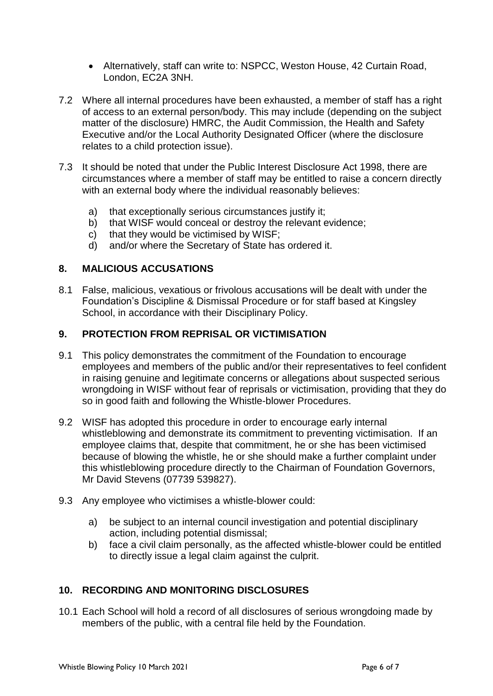- Alternatively, staff can write to: NSPCC, Weston House, 42 Curtain Road, London, EC2A 3NH.
- 7.2 Where all internal procedures have been exhausted, a member of staff has a right of access to an external person/body. This may include (depending on the subject matter of the disclosure) HMRC, the Audit Commission, the Health and Safety Executive and/or the Local Authority Designated Officer (where the disclosure relates to a child protection issue).
- 7.3 It should be noted that under the Public Interest Disclosure Act 1998, there are circumstances where a member of staff may be entitled to raise a concern directly with an external body where the individual reasonably believes:
	- a) that exceptionally serious circumstances justify it;
	- b) that WISF would conceal or destroy the relevant evidence;
	- c) that they would be victimised by WISF;
	- d) and/or where the Secretary of State has ordered it.

#### **8. MALICIOUS ACCUSATIONS**

8.1 False, malicious, vexatious or frivolous accusations will be dealt with under the Foundation's Discipline & Dismissal Procedure or for staff based at Kingsley School, in accordance with their Disciplinary Policy.

#### **9. PROTECTION FROM REPRISAL OR VICTIMISATION**

- 9.1 This policy demonstrates the commitment of the Foundation to encourage employees and members of the public and/or their representatives to feel confident in raising genuine and legitimate concerns or allegations about suspected serious wrongdoing in WISF without fear of reprisals or victimisation, providing that they do so in good faith and following the Whistle-blower Procedures.
- 9.2 WISF has adopted this procedure in order to encourage early internal whistleblowing and demonstrate its commitment to preventing victimisation. If an employee claims that, despite that commitment, he or she has been victimised because of blowing the whistle, he or she should make a further complaint under this whistleblowing procedure directly to the Chairman of Foundation Governors, Mr David Stevens (07739 539827).
- 9.3 Any employee who victimises a whistle-blower could:
	- a) be subject to an internal council investigation and potential disciplinary action, including potential dismissal;
	- b) face a civil claim personally, as the affected whistle-blower could be entitled to directly issue a legal claim against the culprit.

#### **10. RECORDING AND MONITORING DISCLOSURES**

10.1 Each School will hold a record of all disclosures of serious wrongdoing made by members of the public, with a central file held by the Foundation.